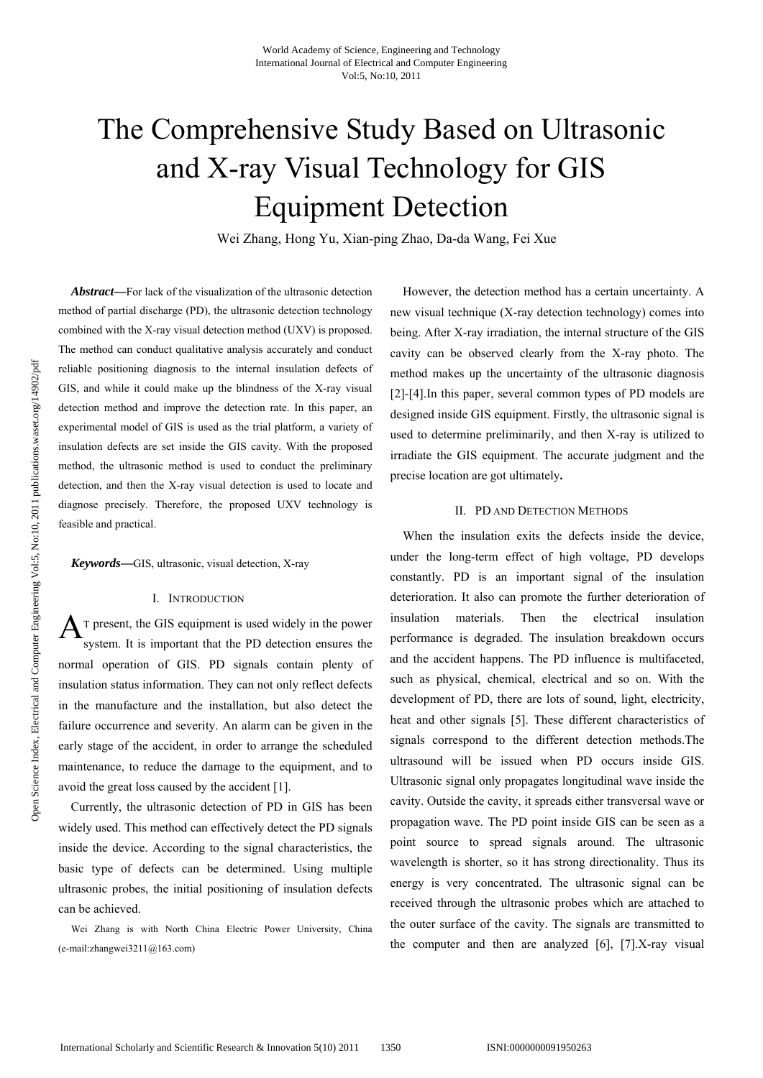# The Comprehensive Study Based on Ultrasonic and X-ray Visual Technology for GIS Equipment Detection

Wei Zhang, Hong Yu, Xian-ping Zhao, Da-da Wang, Fei Xue

*Abstract***—**For lack of the visualization of the ultrasonic detection method of partial discharge (PD), the ultrasonic detection technology combined with the X-ray visual detection method (UXV) is proposed. The method can conduct qualitative analysis accurately and conduct reliable positioning diagnosis to the internal insulation defects of GIS, and while it could make up the blindness of the X-ray visual detection method and improve the detection rate. In this paper, an experimental model of GIS is used as the trial platform, a variety of insulation defects are set inside the GIS cavity. With the proposed method, the ultrasonic method is used to conduct the preliminary detection, and then the X-ray visual detection is used to locate and diagnose precisely. Therefore, the proposed UXV technology is feasible and practical.

*Keywords***—**GIS, ultrasonic, visual detection, X-ray

## I. INTRODUCTION

 $A$ <sup>T</sup> present, the GIS equipment is used widely in the power system. It is important that the PD detection ensures the normal operation of GIS. PD signals contain plenty of insulation status information. They can not only reflect defects in the manufacture and the installation, but also detect the failure occurrence and severity. An alarm can be given in the early stage of the accident, in order to arrange the scheduled maintenance, to reduce the damage to the equipment, and to avoid the great loss caused by the accident [1].

Currently, the ultrasonic detection of PD in GIS has been widely used. This method can effectively detect the PD signals inside the device. According to the signal characteristics, the basic type of defects can be determined. Using multiple ultrasonic probes, the initial positioning of insulation defects can be achieved.

Wei Zhang is with North China Electric Power University, China (e-mail:zhangwei3211@163.com)

However, the detection method has a certain uncertainty. A new visual technique (X-ray detection technology) comes into being. After X-ray irradiation, the internal structure of the GIS cavity can be observed clearly from the X-ray photo. The method makes up the uncertainty of the ultrasonic diagnosis [2]-[4].In this paper, several common types of PD models are designed inside GIS equipment. Firstly, the ultrasonic signal is used to determine preliminarily, and then X-ray is utilized to irradiate the GIS equipment. The accurate judgment and the precise location are got ultimately**.**

# II. PD AND DETECTION METHODS

When the insulation exits the defects inside the device, under the long-term effect of high voltage, PD develops constantly. PD is an important signal of the insulation deterioration. It also can promote the further deterioration of insulation materials. Then the electrical insulation performance is degraded. The insulation breakdown occurs and the accident happens. The PD influence is multifaceted, such as physical, chemical, electrical and so on. With the development of PD, there are lots of sound, light, electricity, heat and other signals [5]. These different characteristics of signals correspond to the different detection methods.The ultrasound will be issued when PD occurs inside GIS. Ultrasonic signal only propagates longitudinal wave inside the cavity. Outside the cavity, it spreads either transversal wave or propagation wave. The PD point inside GIS can be seen as a point source to spread signals around. The ultrasonic wavelength is shorter, so it has strong directionality. Thus its energy is very concentrated. The ultrasonic signal can be received through the ultrasonic probes which are attached to the outer surface of the cavity. The signals are transmitted to the computer and then are analyzed [6], [7].X-ray visual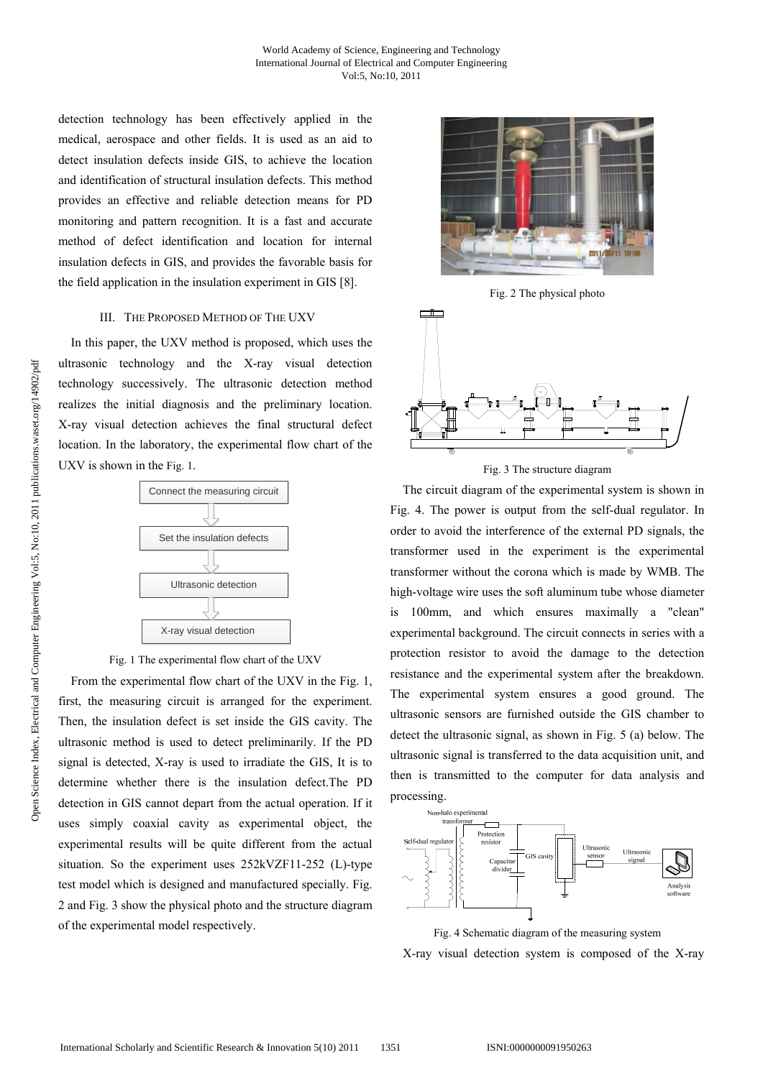detection technology has been effectively applied in the medical, aerospace and other fields. It is used as an aid to detect insulation defects inside GIS, to achieve the location and identification of structural insulation defects. This method provides an effective and reliable detection means for PD monitoring and pattern recognition. It is a fast and accurate method of defect identification and location for internal insulation defects in GIS, and provides the favorable basis for the field application in the insulation experiment in GIS [8].

## III. THE PROPOSED METHOD OF THE UXV

In this paper, the UXV method is proposed, which uses the ultrasonic technology and the X-ray visual detection technology successively. The ultrasonic detection method realizes the initial diagnosis and the preliminary location. X-ray visual detection achieves the final structural defect location. In the laboratory, the experimental flow chart of the UXV is shown in the Fig. 1.



Fig. 1 The experimental flow chart of the UXV

From the experimental flow chart of the UXV in the Fig. 1, first, the measuring circuit is arranged for the experiment. Then, the insulation defect is set inside the GIS cavity. The ultrasonic method is used to detect preliminarily. If the PD signal is detected, X-ray is used to irradiate the GIS, It is to determine whether there is the insulation defect.The PD detection in GIS cannot depart from the actual operation. If it uses simply coaxial cavity as experimental object, the experimental results will be quite different from the actual situation. So the experiment uses 252kVZF11-252 (L)-type test model which is designed and manufactured specially. Fig. 2 and Fig. 3 show the physical photo and the structure diagram of the experimental model respectively.



Fig. 2 The physical photo



Fig. 3 The structure diagram

The circuit diagram of the experimental system is shown in Fig. 4. The power is output from the self-dual regulator. In order to avoid the interference of the external PD signals, the transformer used in the experiment is the experimental transformer without the corona which is made by WMB. The high-voltage wire uses the soft aluminum tube whose diameter is 100mm, and which ensures maximally a "clean" experimental background. The circuit connects in series with a protection resistor to avoid the damage to the detection resistance and the experimental system after the breakdown. The experimental system ensures a good ground. The ultrasonic sensors are furnished outside the GIS chamber to detect the ultrasonic signal, as shown in Fig. 5 (a) below. The ultrasonic signal is transferred to the data acquisition unit, and then is transmitted to the computer for data analysis and processing.



Fig. 4 Schematic diagram of the measuring system X-ray visual detection system is composed of the X-ray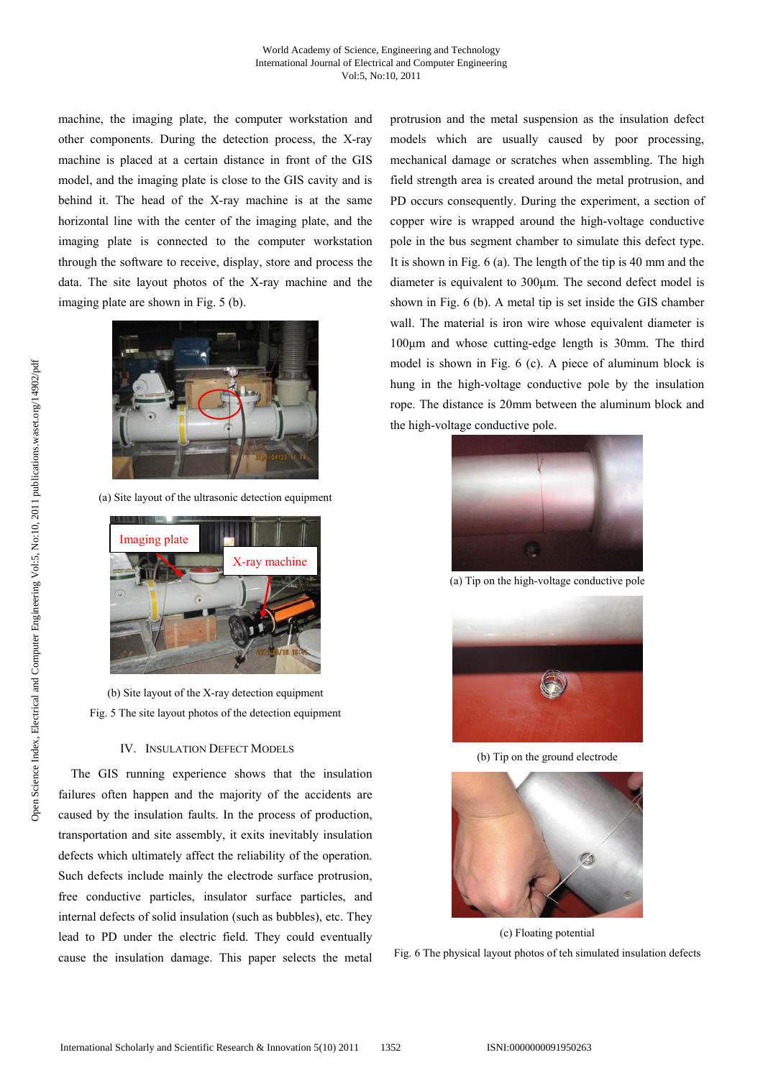machine, the imaging plate, the computer workstation and other components. During the detection process, the X-ray machine is placed at a certain distance in front of the GIS model, and the imaging plate is close to the GIS cavity and is behind it. The head of the X-ray machine is at the same horizontal line with the center of the imaging plate, and the imaging plate is connected to the computer workstation through the software to receive, display, store and process the data. The site layout photos of the X-ray machine and the imaging plate are shown in Fig. 5 (b).



(a) Site layout of the ultrasonic detection equipment



(b) Site layout of the X-ray detection equipment Fig. 5 The site layout photos of the detection equipment

## IV. INSULATION DEFECT MODELS

The GIS running experience shows that the insulation failures often happen and the majority of the accidents are caused by the insulation faults. In the process of production, transportation and site assembly, it exits inevitably insulation defects which ultimately affect the reliability of the operation. Such defects include mainly the electrode surface protrusion, free conductive particles, insulator surface particles, and internal defects of solid insulation (such as bubbles), etc. They lead to PD under the electric field. They could eventually cause the insulation damage. This paper selects the metal protrusion and the metal suspension as the insulation defect models which are usually caused by poor processing, mechanical damage or scratches when assembling. The high field strength area is created around the metal protrusion, and PD occurs consequently. During the experiment, a section of copper wire is wrapped around the high-voltage conductive pole in the bus segment chamber to simulate this defect type. It is shown in Fig. 6 (a). The length of the tip is 40 mm and the diameter is equivalent to 300μm. The second defect model is shown in Fig. 6 (b). A metal tip is set inside the GIS chamber wall. The material is iron wire whose equivalent diameter is 100μm and whose cutting-edge length is 30mm. The third model is shown in Fig. 6 (c). A piece of aluminum block is hung in the high-voltage conductive pole by the insulation rope. The distance is 20mm between the aluminum block and the high-voltage conductive pole.



(a) Tip on the high-voltage conductive pole



(b) Tip on the ground electrode



(c) Floating potential Fig. 6 The physical layout photos of teh simulated insulation defects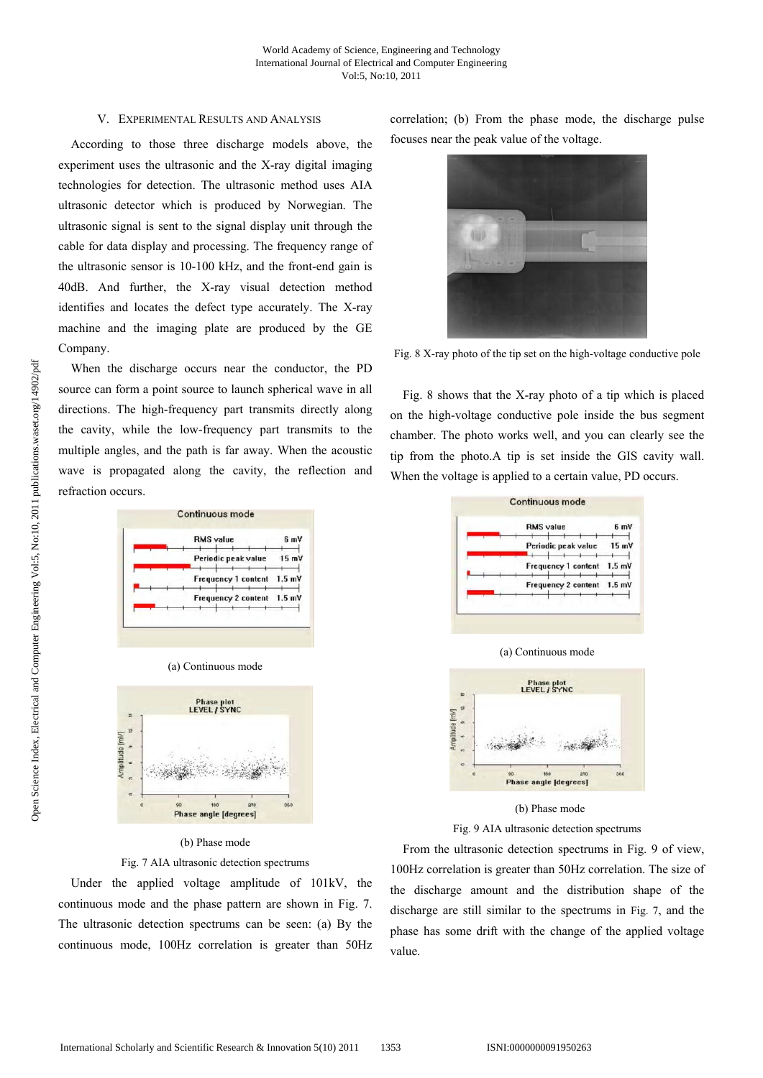## V. EXPERIMENTAL RESULTS AND ANALYSIS

According to those three discharge models above, the experiment uses the ultrasonic and the X-ray digital imaging technologies for detection. The ultrasonic method uses AIA ultrasonic detector which is produced by Norwegian. The ultrasonic signal is sent to the signal display unit through the cable for data display and processing. The frequency range of the ultrasonic sensor is 10-100 kHz, and the front-end gain is 40dB. And further, the X-ray visual detection method identifies and locates the defect type accurately. The X-ray machine and the imaging plate are produced by the GE Company.

When the discharge occurs near the conductor, the PD source can form a point source to launch spherical wave in all directions. The high-frequency part transmits directly along the cavity, while the low-frequency part transmits to the multiple angles, and the path is far away. When the acoustic wave is propagated along the cavity, the reflection and refraction occurs.

|  |  | <b>RMS</b> value           | 6 mV            |
|--|--|----------------------------|-----------------|
|  |  | Periodic peak value        | $15 \text{ mV}$ |
|  |  | Frequency 1 content 1.5 mV |                 |
|  |  | Frequency 2 content 1.5 mV |                 |

|  | (a) Continuous mode |  |  |
|--|---------------------|--|--|
|  |                     |  |  |



#### (b) Phase mode

Fig. 7 AIA ultrasonic detection spectrums

Under the applied voltage amplitude of 101kV, the continuous mode and the phase pattern are shown in Fig. 7. The ultrasonic detection spectrums can be seen: (a) By the continuous mode, 100Hz correlation is greater than 50Hz correlation; (b) From the phase mode, the discharge pulse focuses near the peak value of the voltage.



Fig. 8 X-ray photo of the tip set on the high-voltage conductive pole

Fig. 8 shows that the X-ray photo of a tip which is placed on the high-voltage conductive pole inside the bus segment chamber. The photo works well, and you can clearly see the tip from the photo.A tip is set inside the GIS cavity wall. When the voltage is applied to a certain value, PD occurs.





(b) Phase mode

Fig. 9 AIA ultrasonic detection spectrums

From the ultrasonic detection spectrums in Fig. 9 of view, 100Hz correlation is greater than 50Hz correlation. The size of the discharge amount and the distribution shape of the discharge are still similar to the spectrums in Fig. 7, and the phase has some drift with the change of the applied voltage value.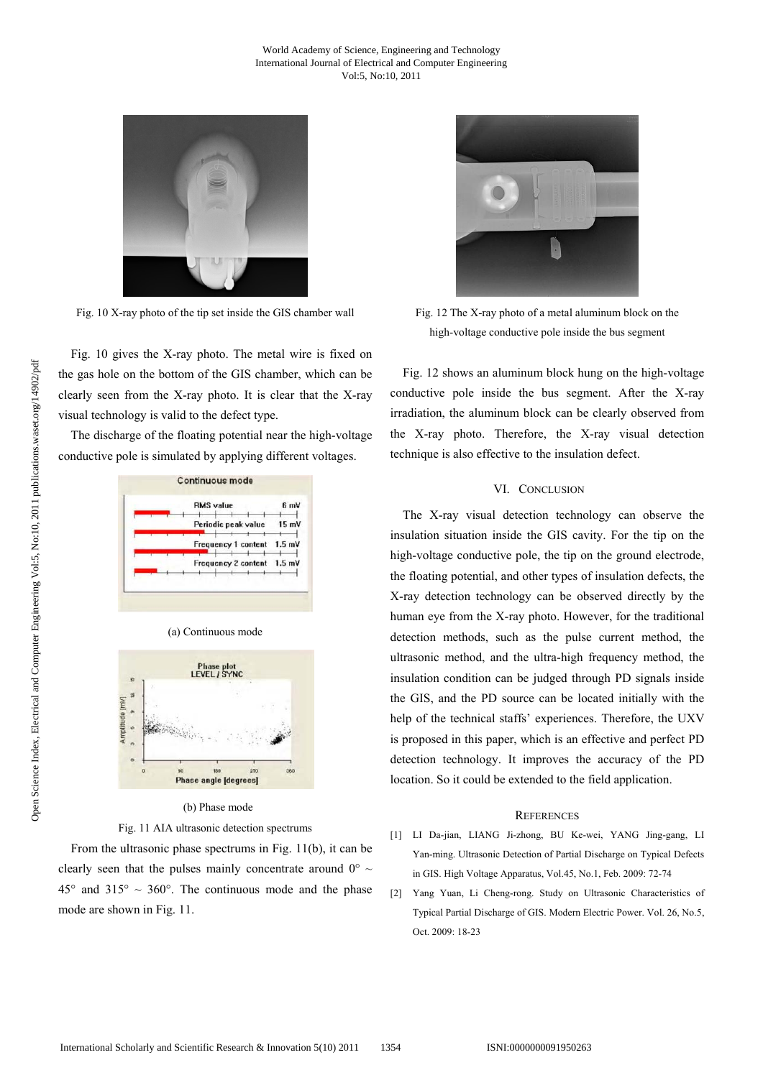

Fig. 10 X-ray photo of the tip set inside the GIS chamber wall

Fig. 10 gives the X-ray photo. The metal wire is fixed on the gas hole on the bottom of the GIS chamber, which can be clearly seen from the X-ray photo. It is clear that the X-ray visual technology is valid to the defect type.

The discharge of the floating potential near the high-voltage conductive pole is simulated by applying different voltages.

|  | <b>RMS</b> value           | 6 mV            |
|--|----------------------------|-----------------|
|  | Periodic peak value        | $15 \text{ mV}$ |
|  | Frequency 1 content 1.5 mV |                 |
|  | Frequency 2 content 1.5 mV |                 |



## (b) Phase mode

Fig. 11 AIA ultrasonic detection spectrums

From the ultrasonic phase spectrums in Fig. 11(b), it can be clearly seen that the pulses mainly concentrate around  $0^{\circ} \sim$  $45^{\circ}$  and  $315^{\circ} \sim 360^{\circ}$ . The continuous mode and the phase mode are shown in Fig. 11.



Fig. 12 The X-ray photo of a metal aluminum block on the high-voltage conductive pole inside the bus segment

Fig. 12 shows an aluminum block hung on the high-voltage conductive pole inside the bus segment. After the X-ray irradiation, the aluminum block can be clearly observed from the X-ray photo. Therefore, the X-ray visual detection technique is also effective to the insulation defect.

# VI. CONCLUSION

The X-ray visual detection technology can observe the insulation situation inside the GIS cavity. For the tip on the high-voltage conductive pole, the tip on the ground electrode, the floating potential, and other types of insulation defects, the X-ray detection technology can be observed directly by the human eye from the X-ray photo. However, for the traditional detection methods, such as the pulse current method, the ultrasonic method, and the ultra-high frequency method, the insulation condition can be judged through PD signals inside the GIS, and the PD source can be located initially with the help of the technical staffs' experiences. Therefore, the UXV is proposed in this paper, which is an effective and perfect PD detection technology. It improves the accuracy of the PD location. So it could be extended to the field application.

#### **REFERENCES**

- [1] LI Da-jian, LIANG Ji-zhong, BU Ke-wei, YANG Jing-gang, LI Yan-ming. Ultrasonic Detection of Partial Discharge on Typical Defects in GIS. High Voltage Apparatus, Vol.45, No.1, Feb. 2009: 72-74
- [2] Yang Yuan, Li Cheng-rong. Study on Ultrasonic Characteristics of Typical Partial Discharge of GIS. Modern Electric Power. Vol. 26, No.5, Oct. 2009: 18-23